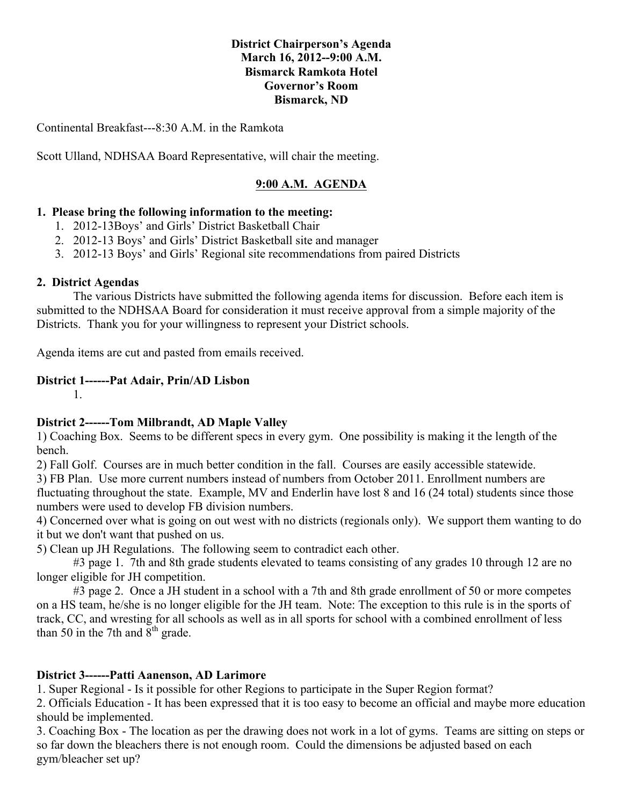#### **District Chairperson's Agenda March 16, 2012--9:00 A.M. Bismarck Ramkota Hotel Governor's Room Bismarck, ND**

Continental Breakfast---8:30 A.M. in the Ramkota

Scott Ulland, NDHSAA Board Representative, will chair the meeting.

#### **9:00 A.M. AGENDA**

#### **1. Please bring the following information to the meeting:**

- 1. 2012-13Boys' and Girls' District Basketball Chair
- 2. 2012-13 Boys' and Girls' District Basketball site and manager
- 3. 2012-13 Boys' and Girls' Regional site recommendations from paired Districts

#### **2. District Agendas**

The various Districts have submitted the following agenda items for discussion. Before each item is submitted to the NDHSAA Board for consideration it must receive approval from a simple majority of the Districts. Thank you for your willingness to represent your District schools.

Agenda items are cut and pasted from emails received.

#### **District 1------Pat Adair, Prin/AD Lisbon**

1.

#### **District 2------Tom Milbrandt, AD Maple Valley**

1) Coaching Box. Seems to be different specs in every gym. One possibility is making it the length of the bench.

2) Fall Golf. Courses are in much better condition in the fall. Courses are easily accessible statewide.

3) FB Plan. Use more current numbers instead of numbers from October 2011. Enrollment numbers are fluctuating throughout the state. Example, MV and Enderlin have lost 8 and 16 (24 total) students since those numbers were used to develop FB division numbers.

4) Concerned over what is going on out west with no districts (regionals only). We support them wanting to do it but we don't want that pushed on us.

5) Clean up JH Regulations. The following seem to contradict each other.

#3 page 1. 7th and 8th grade students elevated to teams consisting of any grades 10 through 12 are no longer eligible for JH competition.

#3 page 2. Once a JH student in a school with a 7th and 8th grade enrollment of 50 or more competes on a HS team, he/she is no longer eligible for the JH team. Note: The exception to this rule is in the sports of track, CC, and wresting for all schools as well as in all sports for school with a combined enrollment of less than 50 in the 7th and  $8<sup>th</sup>$  grade.

#### **District 3------Patti Aanenson, AD Larimore**

1. Super Regional - Is it possible for other Regions to participate in the Super Region format?

2. Officials Education - It has been expressed that it is too easy to become an official and maybe more education should be implemented.

3. Coaching Box - The location as per the drawing does not work in a lot of gyms. Teams are sitting on steps or so far down the bleachers there is not enough room. Could the dimensions be adjusted based on each gym/bleacher set up?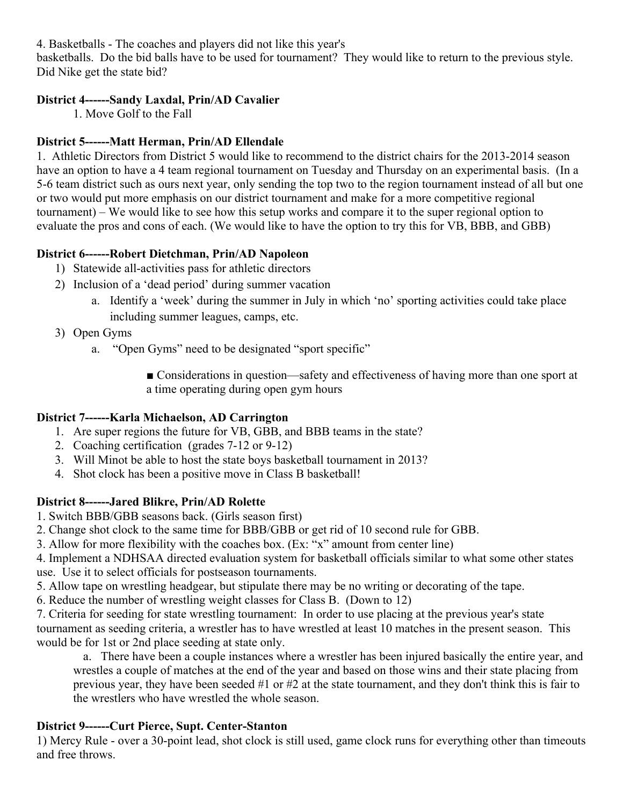4. Basketballs - The coaches and players did not like this year's

basketballs. Do the bid balls have to be used for tournament? They would like to return to the previous style. Did Nike get the state bid?

### **District 4------Sandy Laxdal, Prin/AD Cavalier**

1. Move Golf to the Fall

### **District 5------Matt Herman, Prin/AD Ellendale**

1. Athletic Directors from District 5 would like to recommend to the district chairs for the 2013-2014 season have an option to have a 4 team regional tournament on Tuesday and Thursday on an experimental basis. (In a 5-6 team district such as ours next year, only sending the top two to the region tournament instead of all but one or two would put more emphasis on our district tournament and make for a more competitive regional tournament) – We would like to see how this setup works and compare it to the super regional option to evaluate the pros and cons of each. (We would like to have the option to try this for VB, BBB, and GBB)

### **District 6------Robert Dietchman, Prin/AD Napoleon**

- 1) Statewide all-activities pass for athletic directors
- 2) Inclusion of a 'dead period' during summer vacation
	- a. Identify a 'week' during the summer in July in which 'no' sporting activities could take place including summer leagues, camps, etc.
- 3) Open Gyms
	- a. "Open Gyms" need to be designated "sport specific"

■ Considerations in question—safety and effectiveness of having more than one sport at a time operating during open gym hours

## **District 7------Karla Michaelson, AD Carrington**

- 1. Are super regions the future for VB, GBB, and BBB teams in the state?
- 2. Coaching certification (grades 7-12 or 9-12)
- 3. Will Minot be able to host the state boys basketball tournament in 2013?
- 4. Shot clock has been a positive move in Class B basketball!

## **District 8------Jared Blikre, Prin/AD Rolette**

1. Switch BBB/GBB seasons back. (Girls season first)

- 2. Change shot clock to the same time for BBB/GBB or get rid of 10 second rule for GBB.
- 3. Allow for more flexibility with the coaches box. (Ex: "x" amount from center line)

4. Implement a NDHSAA directed evaluation system for basketball officials similar to what some other states use. Use it to select officials for postseason tournaments.

5. Allow tape on wrestling headgear, but stipulate there may be no writing or decorating of the tape.

6. Reduce the number of wrestling weight classes for Class B. (Down to 12)

7. Criteria for seeding for state wrestling tournament: In order to use placing at the previous year's state tournament as seeding criteria, a wrestler has to have wrestled at least 10 matches in the present season. This would be for 1st or 2nd place seeding at state only.

a. There have been a couple instances where a wrestler has been injured basically the entire year, and wrestles a couple of matches at the end of the year and based on those wins and their state placing from previous year, they have been seeded #1 or #2 at the state tournament, and they don't think this is fair to the wrestlers who have wrestled the whole season.

## **District 9------Curt Pierce, Supt. Center-Stanton**

1) Mercy Rule - over a 30-point lead, shot clock is still used, game clock runs for everything other than timeouts and free throws.